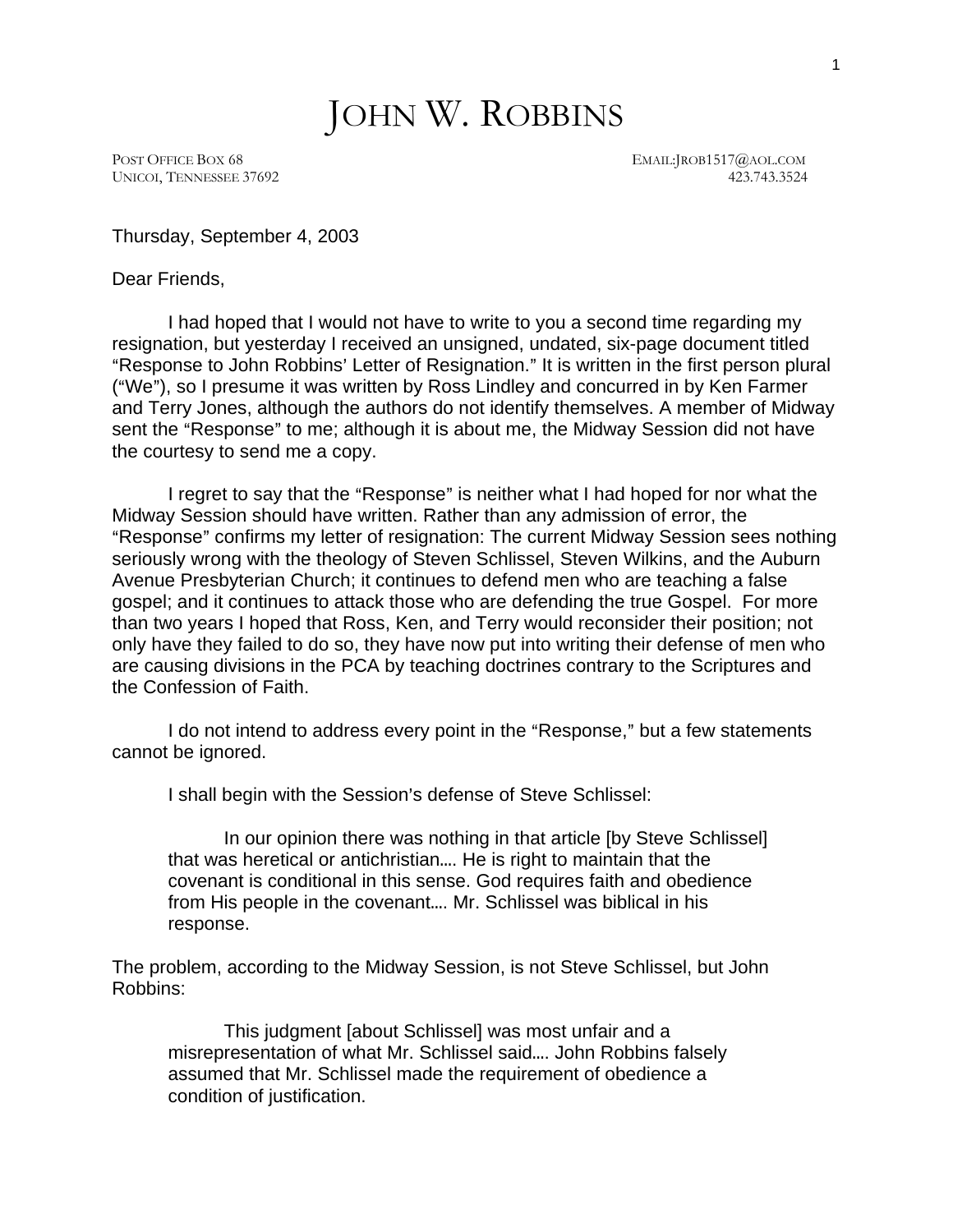## JOHN W. ROBBINS

POST OFFICE BOX 68 EMAIL: ROB1517@AOL.COM UNICOI, TENNESSEE 37692 423.743.3524

Thursday, September 4, 2003

Dear Friends,

I had hoped that I would not have to write to you a second time regarding my resignation, but yesterday I received an unsigned, undated, six-page document titled "Response to John Robbins' Letter of Resignation." It is written in the first person plural ("We"), so I presume it was written by Ross Lindley and concurred in by Ken Farmer and Terry Jones, although the authors do not identify themselves. A member of Midway sent the "Response" to me; although it is about me, the Midway Session did not have the courtesy to send me a copy.

I regret to say that the "Response" is neither what I had hoped for nor what the Midway Session should have written. Rather than any admission of error, the "Response" confirms my letter of resignation: The current Midway Session sees nothing seriously wrong with the theology of Steven Schlissel, Steven Wilkins, and the Auburn Avenue Presbyterian Church; it continues to defend men who are teaching a false gospel; and it continues to attack those who are defending the true Gospel. For more than two years I hoped that Ross, Ken, and Terry would reconsider their position; not only have they failed to do so, they have now put into writing their defense of men who are causing divisions in the PCA by teaching doctrines contrary to the Scriptures and the Confession of Faith.

I do not intend to address every point in the "Response," but a few statements cannot be ignored.

I shall begin with the Session's defense of Steve Schlissel:

In our opinion there was nothing in that article [by Steve Schlissel] that was heretical or antichristian.... He is right to maintain that the covenant is conditional in this sense. God requires faith and obedience from His people in the covenant.... Mr. Schlissel was biblical in his response.

The problem, according to the Midway Session, is not Steve Schlissel, but John Robbins:

This judgment [about Schlissel] was most unfair and a misrepresentation of what Mr. Schlissel said.... John Robbins falsely assumed that Mr. Schlissel made the requirement of obedience a condition of justification.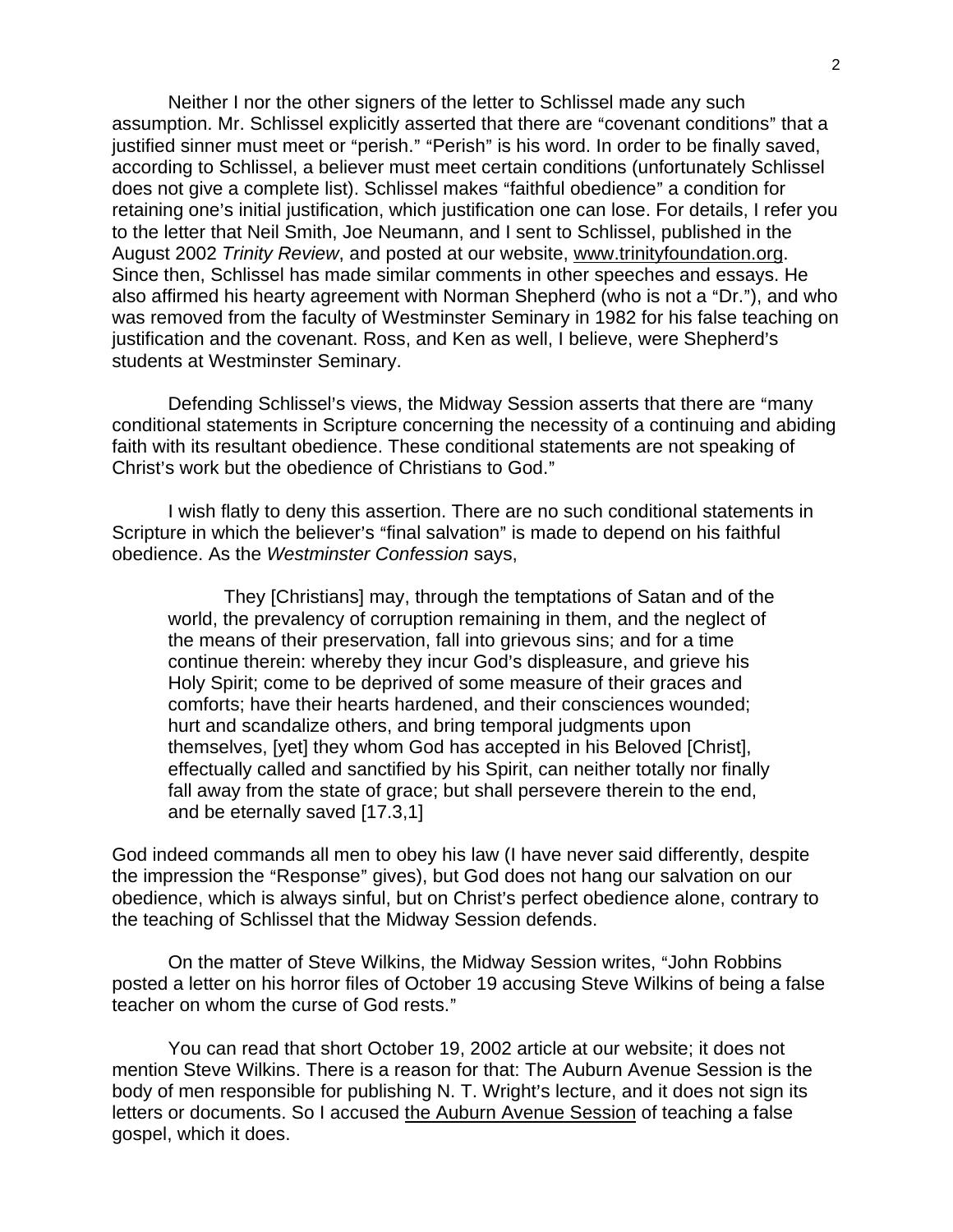Neither I nor the other signers of the letter to Schlissel made any such assumption. Mr. Schlissel explicitly asserted that there are "covenant conditions" that a justified sinner must meet or "perish." "Perish" is his word. In order to be finally saved, according to Schlissel, a believer must meet certain conditions (unfortunately Schlissel does not give a complete list). Schlissel makes "faithful obedience" a condition for retaining one's initial justification, which justification one can lose. For details, I refer you to the letter that Neil Smith, Joe Neumann, and I sent to Schlissel, published in the August 2002 *Trinity Review*, and posted at our website, www.trinityfoundation.org. Since then, Schlissel has made similar comments in other speeches and essays. He also affirmed his hearty agreement with Norman Shepherd (who is not a "Dr."), and who was removed from the faculty of Westminster Seminary in 1982 for his false teaching on justification and the covenant. Ross, and Ken as well, I believe, were Shepherd's students at Westminster Seminary.

Defending Schlissel's views, the Midway Session asserts that there are "many conditional statements in Scripture concerning the necessity of a continuing and abiding faith with its resultant obedience. These conditional statements are not speaking of Christ's work but the obedience of Christians to God."

I wish flatly to deny this assertion. There are no such conditional statements in Scripture in which the believer's "final salvation" is made to depend on his faithful obedience. As the *Westminster Confession* says,

They [Christians] may, through the temptations of Satan and of the world, the prevalency of corruption remaining in them, and the neglect of the means of their preservation, fall into grievous sins; and for a time continue therein: whereby they incur God's displeasure, and grieve his Holy Spirit; come to be deprived of some measure of their graces and comforts; have their hearts hardened, and their consciences wounded; hurt and scandalize others, and bring temporal judgments upon themselves, [yet] they whom God has accepted in his Beloved [Christ], effectually called and sanctified by his Spirit, can neither totally nor finally fall away from the state of grace; but shall persevere therein to the end, and be eternally saved [17.3,1]

God indeed commands all men to obey his law (I have never said differently, despite the impression the "Response" gives), but God does not hang our salvation on our obedience, which is always sinful, but on Christ's perfect obedience alone, contrary to the teaching of Schlissel that the Midway Session defends.

On the matter of Steve Wilkins, the Midway Session writes, "John Robbins posted a letter on his horror files of October 19 accusing Steve Wilkins of being a false teacher on whom the curse of God rests."

You can read that short October 19, 2002 article at our website; it does not mention Steve Wilkins. There is a reason for that: The Auburn Avenue Session is the body of men responsible for publishing N. T. Wright's lecture, and it does not sign its letters or documents. So I accused the Auburn Avenue Session of teaching a false gospel, which it does.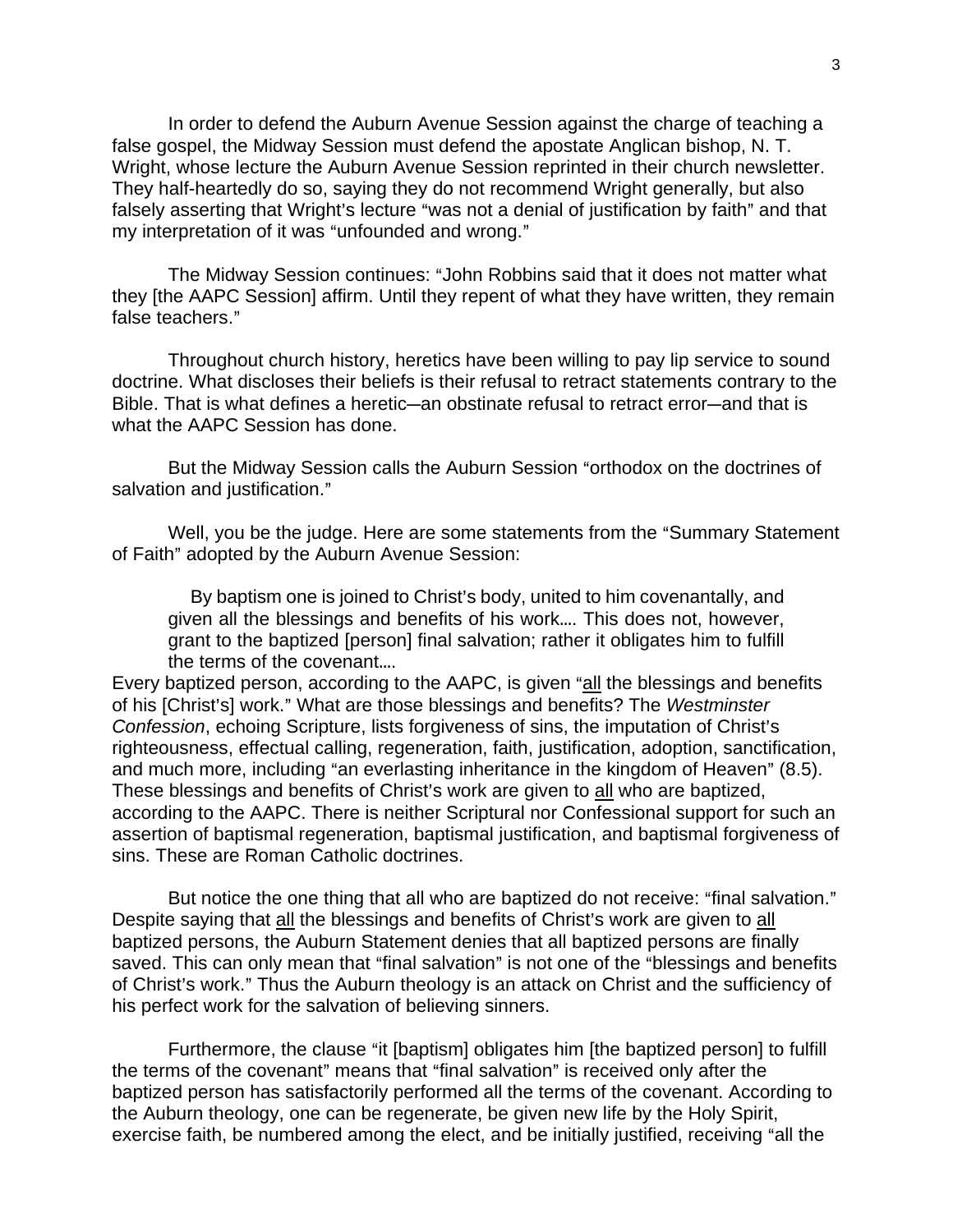In order to defend the Auburn Avenue Session against the charge of teaching a false gospel, the Midway Session must defend the apostate Anglican bishop, N. T. Wright, whose lecture the Auburn Avenue Session reprinted in their church newsletter. They half-heartedly do so, saying they do not recommend Wright generally, but also falsely asserting that Wright's lecture "was not a denial of justification by faith" and that my interpretation of it was "unfounded and wrong."

The Midway Session continues: "John Robbins said that it does not matter what they [the AAPC Session] affirm. Until they repent of what they have written, they remain false teachers."

Throughout church history, heretics have been willing to pay lip service to sound doctrine. What discloses their beliefs is their refusal to retract statements contrary to the Bible. That is what defines a heretic—an obstinate refusal to retract error—and that is what the AAPC Session has done.

But the Midway Session calls the Auburn Session "orthodox on the doctrines of salvation and justification."

Well, you be the judge. Here are some statements from the "Summary Statement" of Faith" adopted by the Auburn Avenue Session:

By baptism one is joined to Christ's body, united to him covenantally, and given all the blessings and benefits of his work.... This does not, however, grant to the baptized [person] final salvation; rather it obligates him to fulfill the terms of the covenant....

Every baptized person, according to the AAPC, is given "all the blessings and benefits" of his [Christ's] work." What are those blessings and benefits? The *Westminster Confession, echoing Scripture, lists forgiveness of sins, the imputation of Christ's* righteousness, effectual calling, regeneration, faith, justification, adoption, sanctification, and much more, including "an everlasting inheritance in the kingdom of Heaven" (8.5). These blessings and benefits of Christ's work are given to all who are baptized, according to the AAPC. There is neither Scriptural nor Confessional support for such an assertion of baptismal regeneration, baptismal justification, and baptismal forgiveness of sins. These are Roman Catholic doctrines.

But notice the one thing that all who are baptized do not receive: "final salvation." Despite saying that all the blessings and benefits of Christ's work are given to all baptized persons, the Auburn Statement denies that all baptized persons are finally saved. This can only mean that "final salvation" is not one of the "blessings and benefits of Christ's work." Thus the Auburn theology is an attack on Christ and the sufficiency of his perfect work for the salvation of believing sinners.

Furthermore, the clause "it [baptism] obligates him [the baptized person] to fulfill the terms of the covenant" means that "final salvation" is received only after the baptized person has satisfactorily performed all the terms of the covenant. According to the Auburn theology, one can be regenerate, be given new life by the Holy Spirit, exercise faith, be numbered among the elect, and be initially justified, receiving "all the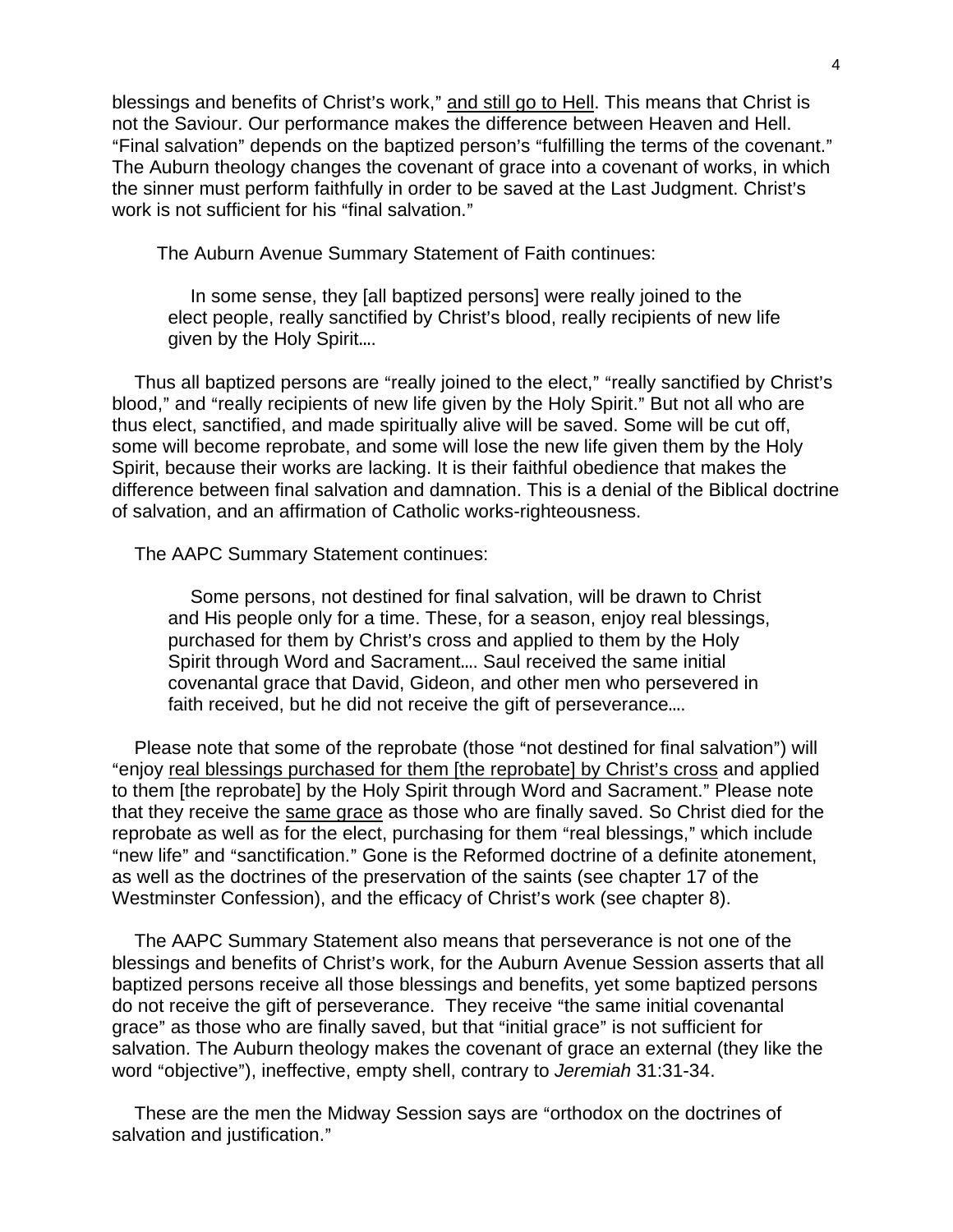blessings and benefits of Christ's work," and still go to Hell. This means that Christ is not the Saviour. Our performance makes the difference between Heaven and Hell. "Final salvation" depends on the baptized person's "fulfilling the terms of the covenant." The Auburn theology changes the covenant of grace into a covenant of works, in which the sinner must perform faithfully in order to be saved at the Last Judgment. Christ's work is not sufficient for his "final salvation."

The Auburn Avenue Summary Statement of Faith continues:

In some sense, they [all baptized persons] were really joined to the elect people, really sanctified by Christ's blood, really recipients of new life given by the Holy Spirit....

Thus all baptized persons are "really joined to the elect," "really sanctified by Christ's blood," and "really recipients of new life given by the Holy Spirit." But not all who are thus elect, sanctified, and made spiritually alive will be saved. Some will be cut off, some will become reprobate, and some will lose the new life given them by the Holy Spirit, because their works are lacking. It is their faithful obedience that makes the difference between final salvation and damnation. This is a denial of the Biblical doctrine of salvation, and an affirmation of Catholic works-righteousness.

The AAPC Summary Statement continues:

Some persons, not destined for final salvation, will be drawn to Christ and His people only for a time. These, for a season, enjoy real blessings, purchased for them by Christ's cross and applied to them by the Holy Spirit through Word and Sacrament.... Saul received the same initial covenantal grace that David, Gideon, and other men who persevered in faith received, but he did not receive the gift of perseverance....

Please note that some of the reprobate (those "not destined for final salvation") will "enjoy real blessings purchased for them [the reprobate] by Christ's cross and applied to them [the reprobate] by the Holy Spirit through Word and Sacrament." Please note that they receive the same grace as those who are finally saved. So Christ died for the reprobate as well as for the elect, purchasing for them "real blessings," which include "new life" and "sanctification." Gone is the Reformed doctrine of a definite atonement, as well as the doctrines of the preservation of the saints (see chapter 17 of the Westminster Confession), and the efficacy of Christ's work (see chapter 8).

The AAPC Summary Statement also means that perseverance is not one of the blessings and benefits of Christ's work, for the Auburn Avenue Session asserts that all baptized persons receive all those blessings and benefits, yet some baptized persons do not receive the gift of perseverance. They receive "the same initial covenantal grace" as those who are finally saved, but that "initial grace" is not sufficient for salvation. The Auburn theology makes the covenant of grace an external (they like the word "objective"), ineffective, empty shell, contrary to *Jeremiah* 31:31-34.

These are the men the Midway Session says are "orthodox on the doctrines of salvation and justification."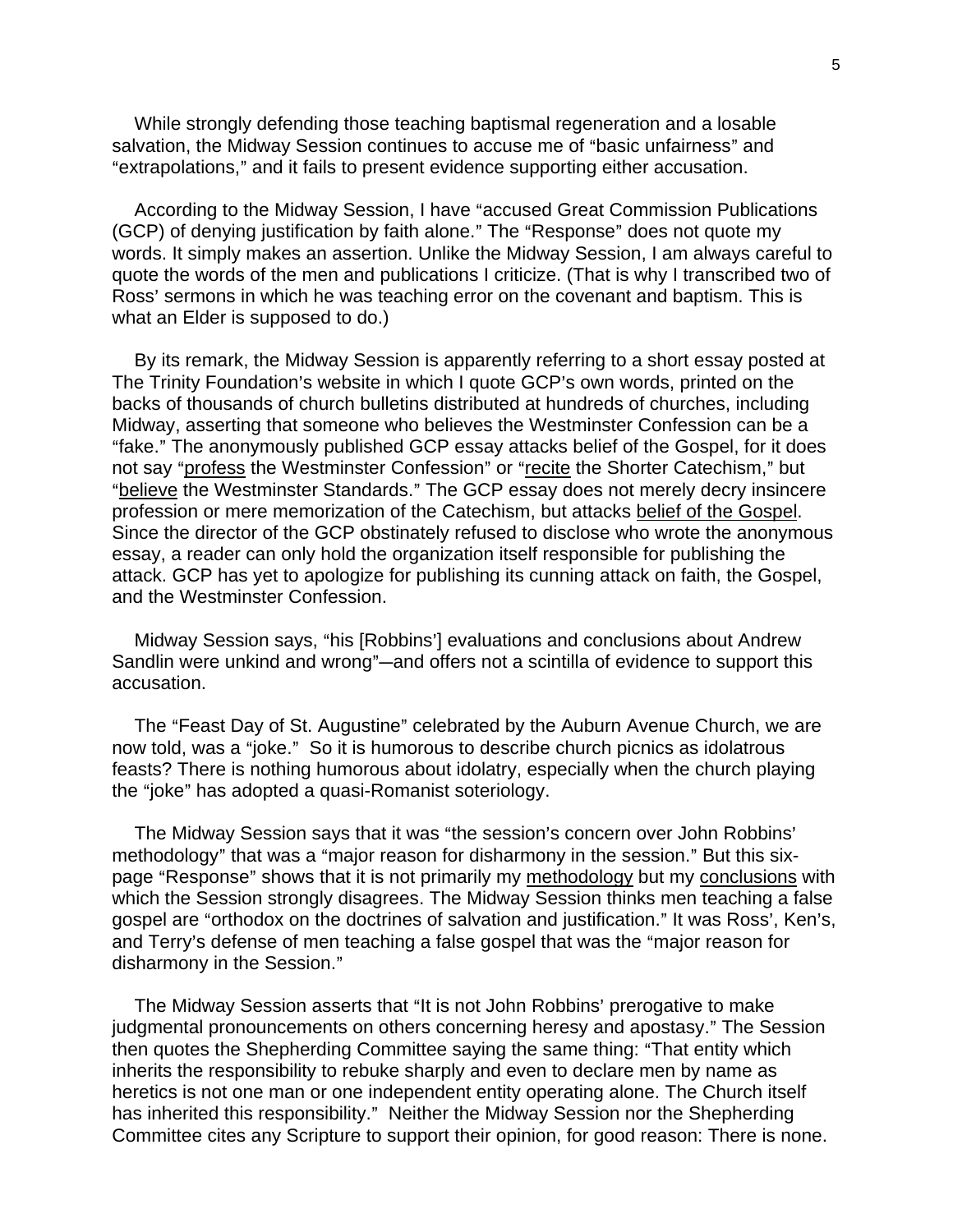While strongly defending those teaching baptismal regeneration and a losable salvation, the Midway Session continues to accuse me of "basic unfairness" and "extrapolations," and it fails to present evidence supporting either accusation.

According to the Midway Session, I have "accused Great Commission Publications (GCP) of denying justification by faith alone." The "Response" does not quote my words. It simply makes an assertion. Unlike the Midway Session, I am always careful to quote the words of the men and publications I criticize. (That is why I transcribed two of Ross' sermons in which he was teaching error on the covenant and baptism. This is what an Elder is supposed to do.)

By its remark, the Midway Session is apparently referring to a short essay posted at The Trinity Foundation's website in which I quote GCP's own words, printed on the backs of thousands of church bulletins distributed at hundreds of churches, including Midway, asserting that someone who believes the Westminster Confession can be a "fake." The anonymously published GCP essay attacks belief of the Gospel, for it does not say "profess the Westminster Confession" or "recite the Shorter Catechism," but "believe the Westminster Standards." The GCP essay does not merely decry insincere profession or mere memorization of the Catechism, but attacks belief of the Gospel. Since the director of the GCP obstinately refused to disclose who wrote the anonymous essay, a reader can only hold the organization itself responsible for publishing the attack. GCP has yet to apologize for publishing its cunning attack on faith, the Gospel, and the Westminster Confession.

Midway Session says, "his [Robbins'] evaluations and conclusions about Andrew Sandlin were unkind and wrong"—and offers not a scintilla of evidence to support this accusation.

The "Feast Day of St. Augustine" celebrated by the Auburn Avenue Church, we are now told, was a "joke." So it is humorous to describe church picnics as idolatrous feasts? There is nothing humorous about idolatry, especially when the church playing the "joke" has adopted a quasi-Romanist soteriology.

The Midway Session says that it was "the session's concern over John Robbins" methodology" that was a "major reason for disharmony in the session." But this sixpage "Response" shows that it is not primarily my methodology but my conclusions with which the Session strongly disagrees. The Midway Session thinks men teaching a false gospel are "orthodox on the doctrines of salvation and justification." It was Ross', Ken's, and Terry's defense of men teaching a false gospel that was the "major reason for disharmony in the Session."

The Midway Session asserts that "It is not John Robbins' prerogative to make judgmental pronouncements on others concerning heresy and apostasy." The Session then quotes the Shepherding Committee saying the same thing: "That entity which inherits the responsibility to rebuke sharply and even to declare men by name as heretics is not one man or one independent entity operating alone. The Church itself has inherited this responsibility." Neither the Midway Session nor the Shepherding Committee cites any Scripture to support their opinion, for good reason: There is none.